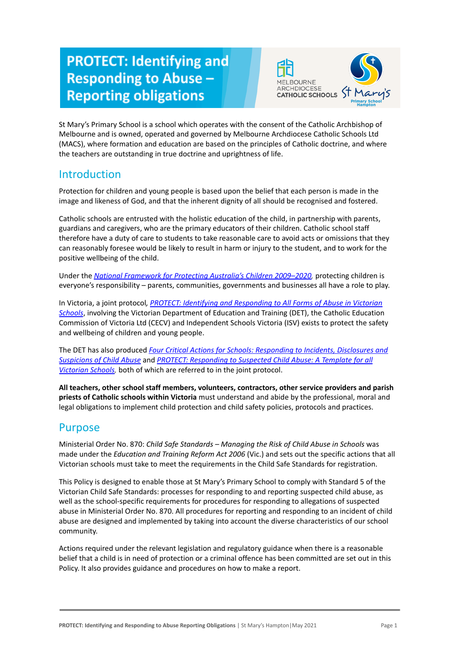# **PROTECT: Identifying and Responding to Abuse -Reporting obligations**



St Mary's Primary School is a school which operates with the consent of the Catholic Archbishop of Melbourne and is owned, operated and governed by Melbourne Archdiocese Catholic Schools Ltd (MACS), where formation and education are based on the principles of Catholic doctrine, and where the teachers are outstanding in true doctrine and uprightness of life.

# **Introduction**

Protection for children and young people is based upon the belief that each person is made in the image and likeness of God, and that the inherent dignity of all should be recognised and fostered.

Catholic schools are entrusted with the holistic education of the child, in partnership with parents, guardians and caregivers, who are the primary educators of their children. Catholic school staff therefore have a duty of care to students to take reasonable care to avoid acts or omissions that they can reasonably foresee would be likely to result in harm or injury to the student, and to work for the positive wellbeing of the child.

Under the *[National Framework for Protecting Australia's](https://www.dss.gov.au/our-responsibilities/families-and-children/publications-articles/protecting-children-is-everyones-business) Children 2009–2020,* protecting children is everyone's responsibility – parents, communities, governments and businesses all have a role to play.

In Victoria, a joint protocol*, PROTECT: Identifying [and Responding to All Forms of Abuse in Victorian](http://www.education.vic.gov.au/Documents/about/programs/health/protect/ChildSafeStandard5_SchoolsGuide.pdf) [Schools](http://www.education.vic.gov.au/Documents/about/programs/health/protect/ChildSafeStandard5_SchoolsGuide.pdf)*, involving the Victorian Department of Education and Training (DET), the Catholic Education Commission of Victoria Ltd (CECV) and Independent Schools Victoria (ISV) exists to protect the safety and wellbeing of children and young people.

The DET has also produced *Four Critical Actions for [Schools: Responding to Incidents, Disclosures and](http://www.education.vic.gov.au/Documents/about/programs/health/protect/FourCriticalActions_ChildAbuse.pdf) [Suspicions of Child Abuse](http://www.education.vic.gov.au/Documents/about/programs/health/protect/FourCriticalActions_ChildAbuse.pdf)* and *PROTECT: Responding [to Suspected Child Abuse: A Template for all](http://www.education.vic.gov.au/Documents/about/programs/health/protect/PROTECT_Responding_TemplateSchools.pdf) [Victorian Schools](http://www.education.vic.gov.au/Documents/about/programs/health/protect/PROTECT_Responding_TemplateSchools.pdf),* both of which are referred to in the joint protocol.

**All teachers, other school staff members, volunteers, contractors, other service providers and parish priests of Catholic schools within Victoria** must understand and abide by the professional, moral and legal obligations to implement child protection and child safety policies, protocols and practices.

# Purpose

Ministerial Order No. 870: *Child Safe Standards – Managing the Risk of Child Abuse in Schools* was made under the *Education and Training Reform Act 2006* (Vic.) and sets out the specific actions that all Victorian schools must take to meet the requirements in the Child Safe Standards for registration.

This Policy is designed to enable those at St Mary's Primary School to comply with Standard 5 of the Victorian Child Safe Standards: processes for responding to and reporting suspected child abuse, as well as the school-specific requirements for procedures for responding to allegations of suspected abuse in Ministerial Order No. 870. All procedures for reporting and responding to an incident of child abuse are designed and implemented by taking into account the diverse characteristics of our school community.

Actions required under the relevant legislation and regulatory guidance when there is a reasonable belief that a child is in need of protection or a criminal offence has been committed are set out in this Policy. It also provides guidance and procedures on how to make a report.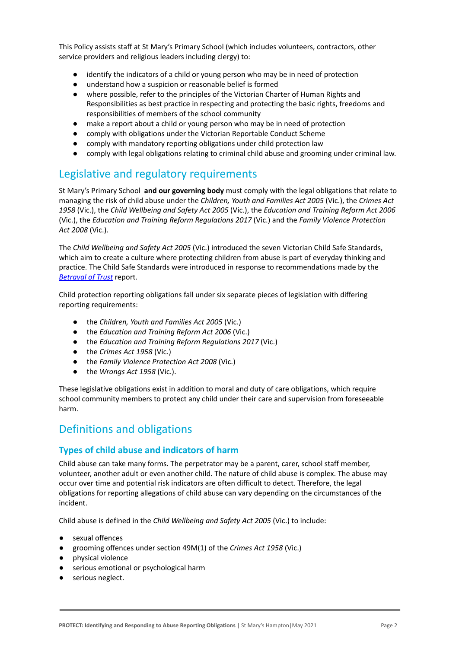This Policy assists staff at St Mary's Primary School (which includes volunteers, contractors, other service providers and religious leaders including clergy) to:

- identify the indicators of a child or young person who may be in need of protection
- understand how a suspicion or reasonable belief is formed
- where possible, refer to the principles of the Victorian Charter of Human Rights and Responsibilities as best practice in respecting and protecting the basic rights, freedoms and responsibilities of members of the school community
- make a report about a child or young person who may be in need of protection
- comply with obligations under the Victorian Reportable Conduct Scheme
- comply with mandatory reporting obligations under child protection law
- comply with legal obligations relating to criminal child abuse and grooming under criminal law.

# Legislative and regulatory requirements

St Mary's Primary School **and our governing body** must comply with the legal obligations that relate to managing the risk of child abuse under the *Children, Youth and Families Act 2005* (Vic.), the *Crimes Act 1958* (Vic.), the *Child Wellbeing and Safety Act 2005* (Vic.), the *Education and Training Reform Act 2006* (Vic.), the *Education and Training Reform Regulations 2017* (Vic.) and the *Family Violence Protection Act 2008* (Vic.).

The *Child Wellbeing and Safety Act 2005* (Vic.) introduced the seven Victorian Child Safe Standards, which aim to create a culture where protecting children from abuse is part of everyday thinking and practice. The Child Safe Standards were introduced in response to recommendations made by the *[Betrayal of Trust](http://www.parliament.vic.gov.au/file_uploads/Inquiry_into_Handling_of_Abuse_Volume_2_FINAL_web_y78t3Wpb.pdf)* report.

Child protection reporting obligations fall under six separate pieces of legislation with differing reporting requirements:

- the *Children, Youth and Families Act 2005* (Vic.)
- the *Education and Training Reform Act 2006* (Vic.)
- the *Education and Training Reform Regulations 2017* (Vic.)
- the *Crimes Act 1958* (Vic.)
- the *Family Violence Protection Act 2008* (Vic.)
- the *Wrongs Act 1958* (Vic.).

These legislative obligations exist in addition to moral and duty of care obligations, which require school community members to protect any child under their care and supervision from foreseeable harm.

# Definitions and obligations

# **Types of child abuse and indicators of harm**

Child abuse can take many forms. The perpetrator may be a parent, carer, school staff member, volunteer, another adult or even another child. The nature of child abuse is complex. The abuse may occur over time and potential risk indicators are often difficult to detect. Therefore, the legal obligations for reporting allegations of child abuse can vary depending on the circumstances of the incident.

Child abuse is defined in the *Child Wellbeing and Safety Act 2005* (Vic.) to include:

- sexual offences
- grooming offences under section 49M(1) of the *Crimes Act 1958* (Vic.)
- physical violence
- serious emotional or psychological harm
- serious neglect.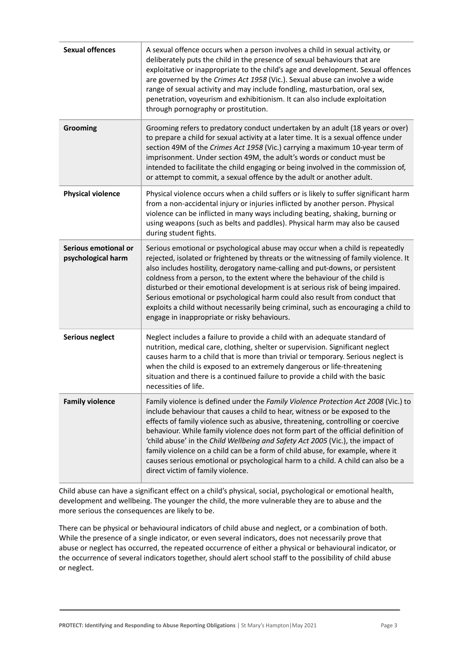| <b>Sexual offences</b>                     | A sexual offence occurs when a person involves a child in sexual activity, or<br>deliberately puts the child in the presence of sexual behaviours that are<br>exploitative or inappropriate to the child's age and development. Sexual offences<br>are governed by the Crimes Act 1958 (Vic.). Sexual abuse can involve a wide<br>range of sexual activity and may include fondling, masturbation, oral sex,<br>penetration, voyeurism and exhibitionism. It can also include exploitation<br>through pornography or prostitution.                                                                                                          |
|--------------------------------------------|---------------------------------------------------------------------------------------------------------------------------------------------------------------------------------------------------------------------------------------------------------------------------------------------------------------------------------------------------------------------------------------------------------------------------------------------------------------------------------------------------------------------------------------------------------------------------------------------------------------------------------------------|
| Grooming                                   | Grooming refers to predatory conduct undertaken by an adult (18 years or over)<br>to prepare a child for sexual activity at a later time. It is a sexual offence under<br>section 49M of the Crimes Act 1958 (Vic.) carrying a maximum 10-year term of<br>imprisonment. Under section 49M, the adult's words or conduct must be<br>intended to facilitate the child engaging or being involved in the commission of,<br>or attempt to commit, a sexual offence by the adult or another adult.                                                                                                                                               |
| <b>Physical violence</b>                   | Physical violence occurs when a child suffers or is likely to suffer significant harm<br>from a non-accidental injury or injuries inflicted by another person. Physical<br>violence can be inflicted in many ways including beating, shaking, burning or<br>using weapons (such as belts and paddles). Physical harm may also be caused<br>during student fights.                                                                                                                                                                                                                                                                           |
| Serious emotional or<br>psychological harm | Serious emotional or psychological abuse may occur when a child is repeatedly<br>rejected, isolated or frightened by threats or the witnessing of family violence. It<br>also includes hostility, derogatory name-calling and put-downs, or persistent<br>coldness from a person, to the extent where the behaviour of the child is<br>disturbed or their emotional development is at serious risk of being impaired.<br>Serious emotional or psychological harm could also result from conduct that<br>exploits a child without necessarily being criminal, such as encouraging a child to<br>engage in inappropriate or risky behaviours. |
| <b>Serious neglect</b>                     | Neglect includes a failure to provide a child with an adequate standard of<br>nutrition, medical care, clothing, shelter or supervision. Significant neglect<br>causes harm to a child that is more than trivial or temporary. Serious neglect is<br>when the child is exposed to an extremely dangerous or life-threatening<br>situation and there is a continued failure to provide a child with the basic<br>necessities of life.                                                                                                                                                                                                        |
| <b>Family violence</b>                     | Family violence is defined under the Family Violence Protection Act 2008 (Vic.) to<br>include behaviour that causes a child to hear, witness or be exposed to the<br>effects of family violence such as abusive, threatening, controlling or coercive<br>behaviour. While family violence does not form part of the official definition of<br>'child abuse' in the Child Wellbeing and Safety Act 2005 (Vic.), the impact of<br>family violence on a child can be a form of child abuse, for example, where it<br>causes serious emotional or psychological harm to a child. A child can also be a<br>direct victim of family violence.     |

Child abuse can have a significant effect on a child's physical, social, psychological or emotional health, development and wellbeing. The younger the child, the more vulnerable they are to abuse and the more serious the consequences are likely to be.

There can be physical or behavioural indicators of child abuse and neglect, or a combination of both. While the presence of a single indicator, or even several indicators, does not necessarily prove that abuse or neglect has occurred, the repeated occurrence of either a physical or behavioural indicator, or the occurrence of several indicators together, should alert school staff to the possibility of child abuse or neglect.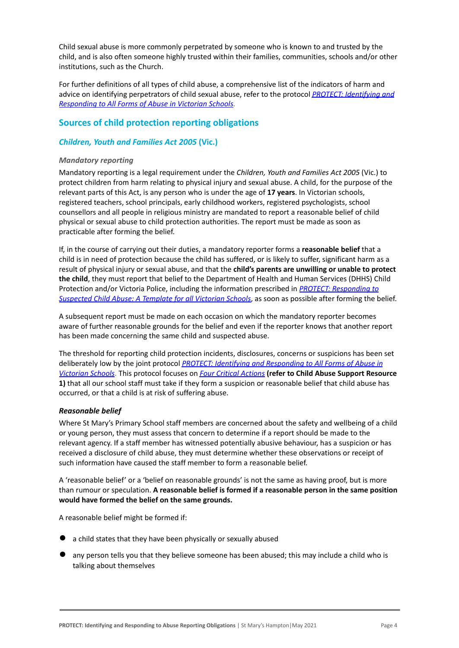Child sexual abuse is more commonly perpetrated by someone who is known to and trusted by the child, and is also often someone highly trusted within their families, communities, schools and/or other institutions, such as the Church.

For further definitions of all types of child abuse, a comprehensive list of the indicators of harm and advice on identifying perpetrators of child sexual abuse, refer to the protocol *[PROTECT: Identifying](https://www.education.vic.gov.au/Documents/about/programs/health/protect/ChildSafeStandard5_SchoolsGuide.pdf) and [Responding to All Forms of Abuse in Victorian Schools](https://www.education.vic.gov.au/Documents/about/programs/health/protect/ChildSafeStandard5_SchoolsGuide.pdf)[.](http://www.education.vic.gov.au/Documents/about/programs/health/protect/ChildSafeStandard5_SchoolsGuide.pdf)*

# **Sources of child protection reporting obligations**

### *Children, Youth and Families Act 2005* **(Vic.)**

#### *Mandatory reporting*

Mandatory reporting is a legal requirement under the *Children, Youth and Families Act 2005* (Vic.) to protect children from harm relating to physical injury and sexual abuse. A child, for the purpose of the relevant parts of this Act, is any person who is under the age of **17 years**. In Victorian schools, registered teachers, school principals, early childhood workers, registered psychologists, school counsellors and all people in religious ministry are mandated to report a reasonable belief of child physical or sexual abuse to child protection authorities. The report must be made as soon as practicable after forming the belief.

If, in the course of carrying out their duties, a mandatory reporter forms a **reasonable belief** that a child is in need of protection because the child has suffered, or is likely to suffer, significant harm as a result of physical injury or sexual abuse, and that the **child's parents are unwilling or unable to protect the child**, they must report that belief to the Department of Health and Human Services (DHHS) Child Protection and/or Victoria Police, including the information prescribed in *[PROTECT: Responding to](http://www.education.vic.gov.au/Documents/about/programs/health/protect/PROTECT_Responding_TemplateSchools.pdf) [Suspected Child Abuse: A Template for all Victorian](http://www.education.vic.gov.au/Documents/about/programs/health/protect/PROTECT_Responding_TemplateSchools.pdf) Schools*, as soon as possible after forming the belief.

A subsequent report must be made on each occasion on which the mandatory reporter becomes aware of further reasonable grounds for the belief and even if the reporter knows that another report has been made concerning the same child and suspected abuse.

The threshold for reporting child protection incidents, disclosures, concerns or suspicions has been set deliberately low by the joint protocol *PROTECT: Identifying [and Responding to All Forms of Abuse in](http://www.education.vic.gov.au/Documents/about/programs/health/protect/ChildSafeStandard5_SchoolsGuide.pdf) [Victorian Schools](http://www.education.vic.gov.au/Documents/about/programs/health/protect/ChildSafeStandard5_SchoolsGuide.pdf)*. This protocol focuses on *[Four Critical](http://www.education.vic.gov.au/Documents/about/programs/health/protect/FourCriticalActions_ChildAbuse.pdf) Actions* **(refer to Child Abuse Support Resource 1)** that all our school staff must take if they form a suspicion or reasonable belief that child abuse has occurred, or that a child is at risk of suffering abuse.

#### <span id="page-3-0"></span>*Reasonable belief*

Where St Mary's Primary School staff members are concerned about the safety and wellbeing of a child or young person, they must assess that concern to determine if a report should be made to the relevant agency. If a staff member has witnessed potentially abusive behaviour, has a suspicion or has received a disclosure of child abuse, they must determine whether these observations or receipt of such information have caused the staff member to form a reasonable belief.

A 'reasonable belief' or a 'belief on reasonable grounds' is not the same as having proof, but is more than rumour or speculation. **A reasonable belief is formed if a reasonable person in the same position would have formed the belief on the same grounds.**

A reasonable belief might be formed if:

- a child states that they have been physically or sexually abused
- any person tells you that they believe someone has been abused; this may include a child who is talking about themselves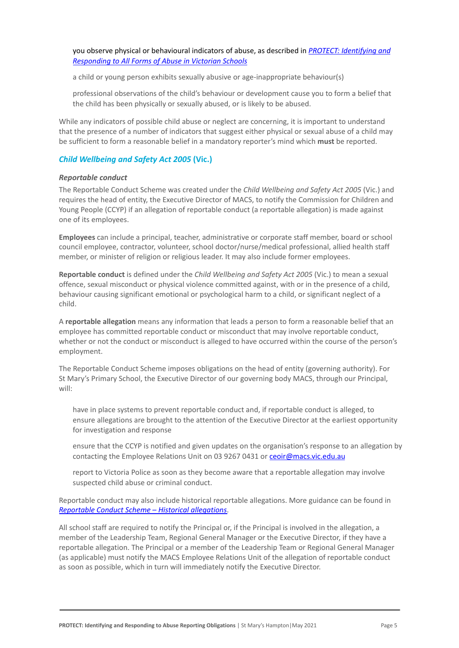● you observe physical or behavioural indicators of abuse, as described in *[PROTECT: Identifying and](http://www.education.vic.gov.au/Documents/about/programs/health/protect/ChildSafeStandard5_SchoolsGuide.pdf) [Responding to All Forms of Abuse in Victorian Schools](http://www.education.vic.gov.au/Documents/about/programs/health/protect/ChildSafeStandard5_SchoolsGuide.pdf)*

a child or young person exhibits sexually abusive or age-inappropriate behaviour(s)

professional observations of the child's behaviour or development cause you to form a belief that the child has been physically or sexually abused, or is likely to be abused.

While any indicators of possible child abuse or neglect are concerning, it is important to understand that the presence of a number of indicators that suggest either physical or sexual abuse of a child may be sufficient to form a reasonable belief in a mandatory reporter's mind which **must** be reported.

#### *Child Wellbeing and Safety Act 2005* **(Vic.)**

#### *Reportable conduct*

The Reportable Conduct Scheme was created under the *Child Wellbeing and Safety Act 2005* (Vic.) and requires the head of entity, the Executive Director of MACS, to notify the Commission for Children and Young People (CCYP) if an allegation of reportable conduct (a reportable allegation) is made against one of its employees.

**Employees** can include a principal, teacher, administrative or corporate staff member, board or school council employee, contractor, volunteer, school doctor/nurse/medical professional, allied health staff member, or minister of religion or religious leader. It may also include former employees.

**Reportable conduct** is defined under the *Child Wellbeing and Safety Act 2005* (Vic.) to mean a sexual offence, sexual misconduct or physical violence committed against, with or in the presence of a child, behaviour causing significant emotional or psychological harm to a child, or significant neglect of a child.

A **reportable allegation** means any information that leads a person to form a reasonable belief that an employee has committed reportable conduct or misconduct that may involve reportable conduct, whether or not the conduct or misconduct is alleged to have occurred within the course of the person's employment.

The Reportable Conduct Scheme imposes obligations on the head of entity (governing authority). For St Mary's Primary School, the Executive Director of our governing body MACS, through our Principal, will:

have in place systems to prevent reportable conduct and, if reportable conduct is alleged, to ensure allegations are brought to the attention of the Executive Director at the earliest opportunity for investigation and response

ensure that the CCYP is notified and given updates on the organisation's response to an allegation by contacting the Employee Relations Unit on 03 9267 0431 or [ceoir@macs.vic.edu.au](mailto:ceoir@macs.vic.edu.au)

report to Victoria Police as soon as they become aware that a reportable allegation may involve suspected child abuse or criminal conduct.

Reportable conduct may also include historical reportable allegations. More guidance can be found in *[Reportable Conduct Scheme – Historical allegations](https://ccyp.vic.gov.au/assets/resources/RCSInfoSheetUpdates/Historical-Allegations-110718.pdf)*.

All school staff are required to notify the Principal or, if the Principal is involved in the allegation, a member of the Leadership Team, Regional General Manager or the Executive Director, if they have a reportable allegation. The Principal or a member of the Leadership Team or Regional General Manager (as applicable) must notify the MACS Employee Relations Unit of the allegation of reportable conduct as soon as possible, which in turn will immediately notify the Executive Director.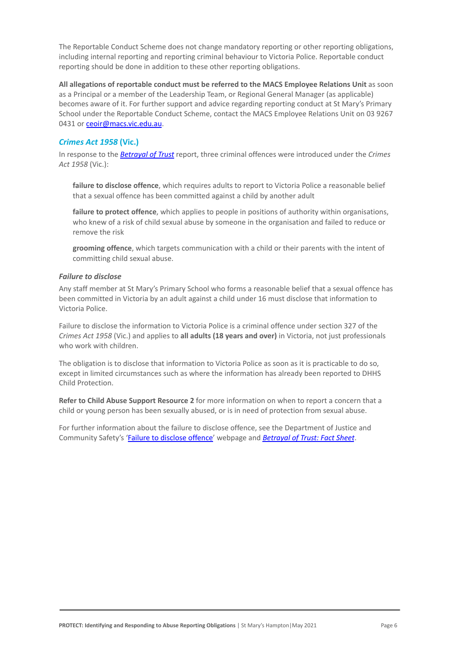The Reportable Conduct Scheme does not change mandatory reporting or other reporting obligations, including internal reporting and reporting criminal behaviour to Victoria Police. Reportable conduct reporting should be done in addition to these other reporting obligations.

**All allegations of reportable conduct must be referred to the MACS Employee Relations Unit** as soon as a Principal or a member of the Leadership Team, or Regional General Manager (as applicable) becomes aware of it. For further support and advice regarding reporting conduct at St Mary's Primary School under the Reportable Conduct Scheme, contact the MACS Employee Relations Unit on 03 9267 0431 or [ceoir@macs.vic.edu.au](mailto:ceoir@macs.vic.edu.au).

### *Crimes Act 1958* **(Vic.)**

In response to the *[Betrayal of Trust](http://www.parliament.vic.gov.au/file_uploads/Inquiry_into_Handling_of_Abuse_Volume_2_FINAL_web_y78t3Wpb.pdf)* report, three criminal offences were introduced under the *Crimes Act 1958* (Vic.):

[failure to disclose offence](http://www.justice.vic.gov.au/home/safer%2Bcommunities/protecting%2Bchildren%2Band%2Bfamilies/failure%2Bto%2Bdisclose%2Boffence), which requires adults to report to Victoria Police a reasonable belief that a sexual offence has been committed against a child by another adult

[failure to protect offence](http://www.justice.vic.gov.au/home/safer%2Bcommunities/protecting%2Bchildren%2Band%2Bfamilies/failure%2Bto%2Bprotect%2Boffence), which applies to people in positions of authority within organisations, who knew of a risk of child sexual abuse by someone in the organisation and failed to reduce or remove the risk

● **[grooming offence](http://www.justice.vic.gov.au/home/safer%2Bcommunities/protecting%2Bchildren%2Band%2Bfamilies/grooming%2Boffence)**, which targets communication with a child or their parents with the intent of committing child sexual abuse.

#### <span id="page-5-0"></span>*Failure to disclose*

Any staff member at St Mary's Primary School who forms a reasonable belief that a sexual offence has been committed in Victoria by an adult against a child under 16 must disclose that information to Victoria Police.

Failure to disclose the information to Victoria Police is a criminal offence under section 327 of the *Crimes Act 1958* (Vic.) and applies to **all adults (18 years and over)** in Victoria, not just professionals who work with children.

The obligation is to disclose that information to Victoria Police as soon as it is practicable to do so, except in limited circumstances such as where the information has already been reported to DHHS Child Protection.

**Refer to Child Abuse Support Resource 2** for more information on when to report a concern that a child or young person has been sexually abused, or is in need of protection from sexual abuse.

For further information about the failure to disclose offence, see the Department of Justice and Community Safety's ['Failure to disclose offence'](https://www.justice.vic.gov.au/safer-communities/protecting-children-and-families/failure-to-disclose-offence) webpage and *[Betrayal of Trust: Fact Sheet](https://www.justice.vic.gov.au/sites/default/files/embridge_cache/emshare/original/public/2020/06/c5/7f42d28f3/betrayal_of_trust-organisational_duty_fact_sheet_2018%20.doc)*.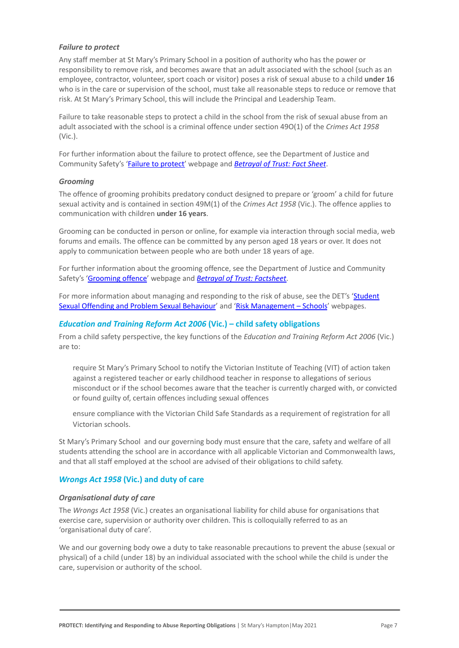#### *Failure to protect*

Any staff member at St Mary's Primary School in a position of authority who has the power or responsibility to remove risk, and becomes aware that an adult associated with the school (such as an employee, contractor, volunteer, sport coach or visitor) poses a risk of sexual abuse to a child **under 16** who is in the care or supervision of the school, must take all reasonable steps to reduce or remove that risk. At St Mary's Primary School, this will include the Principal and Leadership Team.

Failure to take reasonable steps to protect a child in the school from the risk of sexual abuse from an adult associated with the school is a criminal offence under section 49O(1) of the *Crimes Act 1958* (Vic.).

For further information about the failure to protect offence, see the Department of Justice and Community Safety's ['Failure to protect'](https://www.justice.vic.gov.au/safer-communities/protecting-children-and-families/failure-to-protect-a-new-criminal-offence-to) webpage and *[Betrayal of Trust: Fact Sheet](https://www.justice.vic.gov.au/sites/default/files/embridge_cache/emshare/original/public/2020/06/e0/4460c5147/failure_to_protect_betrayal_of_trust_factsheet_2017.pdf)*.

#### *Grooming*

The offence of grooming prohibits predatory conduct designed to prepare or 'groom' a child for future sexual activity and is contained in section 49M(1) of the *Crimes Act 1958* (Vic.). The offence applies to communication with children **under 16 years**.

Grooming can be conducted in person or online, for example via interaction through social media, web forums and emails. The offence can be committed by any person aged 18 years or over. It does not apply to communication between people who are both under 18 years of age.

For further information about the grooming offence, see the Department of Justice and Community Safety's ['Grooming offence'](https://www.justice.vic.gov.au/safer-communities/protecting-children-and-families/grooming-offence) webpage and *Betrayal of [Trust: Factsheet](https://www.justice.vic.gov.au/sites/default/files/embridge_cache/emshare/original/public/2020/06/e6/ea73d4b66/grooming_betrayal_of_trust_factsheet_2017.pdf)*.

For more information about managing and responding to the risk of abuse, see the DET's ['Student](https://www2.education.vic.gov.au/pal/student-sexual-behaviours/policy) [Sexual Offending and Problem Sexual Behaviour](https://www2.education.vic.gov.au/pal/student-sexual-behaviours/policy)' and ['Risk Management – Schools](https://www2.education.vic.gov.au/pal/risk-management-schools/policy)' webpages.

#### *Education and Training Reform Act 2006* **(Vic.) – child safety obligations**

From a child safety perspective, the key functions of the *Education and Training Reform Act 2006* (Vic.) are to:

require St Mary's Primary School to notify the Victorian Institute of Teaching (VIT) of action taken against a registered teacher or early childhood teacher in response to allegations of serious misconduct or if the school becomes aware that the teacher is currently charged with, or convicted or found guilty of, certain offences including sexual offences

ensure compliance with the Victorian Child Safe Standards as a requirement of registration for all Victorian schools.

St Mary's Primary School and our governing body must ensure that the care, safety and welfare of all students attending the school are in accordance with all applicable Victorian and Commonwealth laws, and that all staff employed at the school are advised of their obligations to child safety.

#### *Wrongs Act 1958* **(Vic.) and duty of care**

#### *Organisational duty of care*

The *Wrongs Act 1958* (Vic.) creates an organisational liability for child abuse for organisations that exercise care, supervision or authority over children. This is colloquially referred to as an 'organisational duty of care'.

We and our governing body owe a duty to take reasonable precautions to prevent the abuse (sexual or physical) of a child (under 18) by an individual associated with the school while the child is under the care, supervision or authority of the school.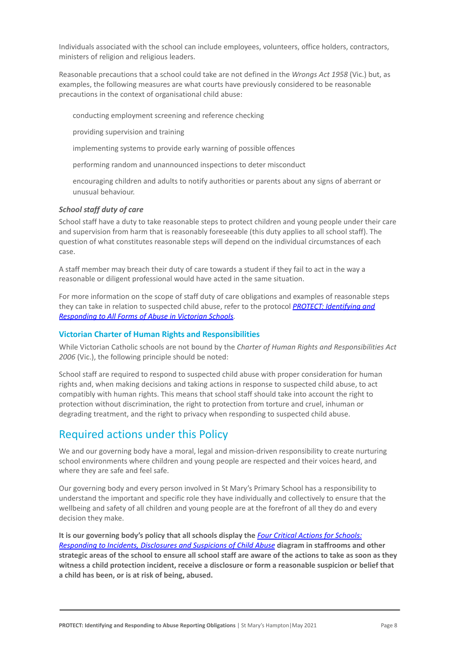Individuals associated with the school can include employees, volunteers, office holders, contractors, ministers of religion and religious leaders.

Reasonable precautions that a school could take are not defined in the *Wrongs Act 1958* (Vic.) but, as examples, the following measures are what courts have previously considered to be reasonable precautions in the context of organisational child abuse:

conducting employment screening and reference checking

providing supervision and training

implementing systems to provide early warning of possible offences

performing random and unannounced inspections to deter misconduct

encouraging children and adults to notify authorities or parents about any signs of aberrant or unusual behaviour.

#### *School staff duty of care*

School staff have a duty to take reasonable steps to protect children and young people under their care and supervision from harm that is reasonably foreseeable (this duty applies to all school staff). The question of what constitutes reasonable steps will depend on the individual circumstances of each case.

A staff member may breach their duty of care towards a student if they fail to act in the way a reasonable or diligent professional would have acted in the same situation.

For more information on the scope of staff duty of care obligations and examples of reasonable steps they can take in relation to suspected child abuse, refer to the protocol *[PROTECT: Identifying and](http://www.education.vic.gov.au/Documents/about/programs/health/protect/ChildSafeStandard5_SchoolsGuide.pdf) [Responding to All Forms of Abuse in Victorian Schools](http://www.education.vic.gov.au/Documents/about/programs/health/protect/ChildSafeStandard5_SchoolsGuide.pdf).*

#### **Victorian Charter of Human Rights and Responsibilities**

While Victorian Catholic schools are not bound by the *Charter of Human Rights and Responsibilities Act 2006* (Vic.), the following principle should be noted:

School staff are required to respond to suspected child abuse with proper consideration for human rights and, when making decisions and taking actions in response to suspected child abuse, to act compatibly with human rights. This means that school staff should take into account the right to protection without discrimination, the right to protection from torture and cruel, inhuman or degrading treatment, and the right to privacy when responding to suspected child abuse.

# Required actions under this Policy

We and our governing body have a moral, legal and mission-driven responsibility to create nurturing school environments where children and young people are respected and their voices heard, and where they are safe and feel safe.

Our governing body and every person involved in St Mary's Primary School has a responsibility to understand the important and specific role they have individually and collectively to ensure that the wellbeing and safety of all children and young people are at the forefront of all they do and every decision they make.

**It is our governing body's policy that all schools display the** *[Four Critical Actions for Schools:](http://www.education.vic.gov.au/Documents/about/programs/health/protect/FourCriticalActions_ChildAbuse.pdf) [Responding to Incidents, Disclosures and Suspicions](http://www.education.vic.gov.au/Documents/about/programs/health/protect/FourCriticalActions_ChildAbuse.pdf) of Child Abuse* **diagram in staffrooms and other strategic areas of the school to ensure all school staff are aware of the actions to take as soon as they witness a child protection incident, receive a disclosure or form a reasonable suspicion or belief that a child has been, or is at risk of being, abused.**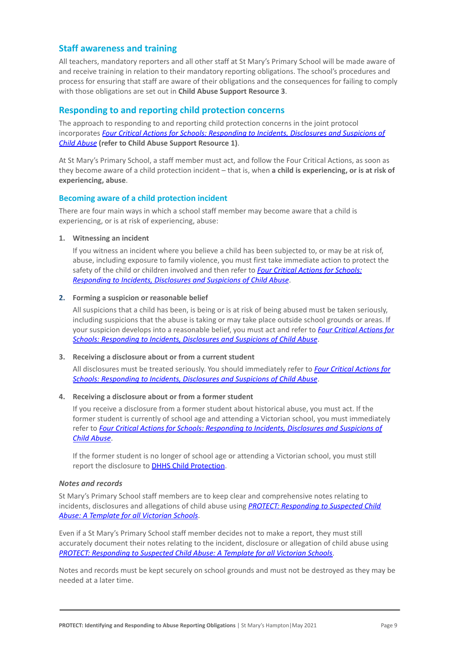## **Staff awareness and training**

All teachers, mandatory reporters and all other staff at St Mary's Primary School will be made aware of and receive training in relation to their mandatory reporting obligations. The school's procedures and process for ensuring that staff are aware of their obligations and the consequences for failing to comply with those obligations are set out in **Child Abuse Support Resource 3**.

## **Responding to and reporting child protection concerns**

The approach to responding to and reporting child protection concerns in the joint protocol incorporates *[Four Critical Actions for Schools: Responding](http://www.education.vic.gov.au/Documents/about/programs/health/protect/FourCriticalActions_ChildAbuse.pdf) to Incidents, Disclosures and Suspicions of [Child Abuse](http://www.education.vic.gov.au/Documents/about/programs/health/protect/FourCriticalActions_ChildAbuse.pdf)* **[\(refer to Child Abuse Support Resource](http://www.education.vic.gov.au/Documents/about/programs/health/protect/FourCriticalActions_ChildAbuse.pdf) 1)**.

At St Mary's Primary School, a staff member must act, and follow the Four Critical Actions, as soon as they become aware of a child protection incident – that is, when **a child is experiencing, or is at risk of experiencing, abuse**.

#### **Becoming aware of a child protection incident**

There are four main ways in which a school staff member may become aware that a child is experiencing, or is at risk of experiencing, abuse:

#### **1. Witnessing an incident**

If you witness an incident where you believe a child has been subjected to, or may be at risk of, abuse, including exposure to family violence, you must first take immediate action to protect the safety of the child or children involved and then refer to *[Four Critical Actions for Schools:](http://www.education.vic.gov.au/Documents/about/programs/health/protect/FourCriticalActions_ChildAbuse.pdf) [Responding to Incidents, Disclosures and Suspicions](http://www.education.vic.gov.au/Documents/about/programs/health/protect/FourCriticalActions_ChildAbuse.pdf) of Child Abuse*.

#### **2. Forming a suspicion or reasonable belief**

All suspicions that a child has been, is being or is at risk of being abused must be taken seriously, including suspicions that the abuse is taking or may take place outside school grounds or areas. If your suspicion develops into a reasonable belief, you must act and refer to *[Four Critical Actions for](http://www.education.vic.gov.au/Documents/about/programs/health/protect/FourCriticalActions_ChildAbuse.pdf) [Schools: Responding to Incidents, Disclosures and](http://www.education.vic.gov.au/Documents/about/programs/health/protect/FourCriticalActions_ChildAbuse.pdf) Suspicions of Child Abuse*.

#### **3. Receiving a disclosure about or from a current student**

All disclosures must be treated seriously. You should immediately refer to *[Four Critical Actions for](http://www.education.vic.gov.au/Documents/about/programs/health/protect/FourCriticalActions_ChildAbuse.pdf) [Schools: Responding to Incidents, Disclosures and](http://www.education.vic.gov.au/Documents/about/programs/health/protect/FourCriticalActions_ChildAbuse.pdf) Suspicions of Child Abuse*.

#### **4. Receiving a disclosure about or from a former student**

If you receive a disclosure from a former student about historical abuse, you must act. If the former student is currently of school age and attending a Victorian school, you must immediately refer to *[Four Critical Actions for Schools: Responding](http://www.education.vic.gov.au/Documents/about/programs/health/protect/FourCriticalActions_ChildAbuse.pdf) to Incidents, Disclosures and Suspicions of [Child Abuse](http://www.education.vic.gov.au/Documents/about/programs/health/protect/FourCriticalActions_ChildAbuse.pdf)*.

If the former student is no longer of school age or attending a Victorian school, you must still report the disclosure to **[DHHS Child Protection](https://www.education.vic.gov.au/about/contact/Pages/reportingabuse.aspx)**[.](http://www.education.vic.gov.au/about/contact/Pages/reportingabuse.aspx?Redirect=1)

#### *Notes and records*

St Mary's Primary School staff members are to keep clear and comprehensive notes relating to incidents, disclosures and allegations of child abuse using *[PROTECT: Responding to Suspected Child](http://www.education.vic.gov.au/Documents/about/programs/health/protect/PROTECT_Responding_TemplateSchools.pdf) [Abuse: A Template for all Victorian Schools](http://www.education.vic.gov.au/Documents/about/programs/health/protect/PROTECT_Responding_TemplateSchools.pdf)*.

Even if a St Mary's Primary School staff member decides not to make a report, they must still accurately document their notes relating to the incident, disclosure or allegation of child abuse using *[PROTECT: Responding to Suspected Child Abuse: A Template](http://www.education.vic.gov.au/Documents/about/programs/health/protect/PROTECT_Responding_TemplateSchools.pdf) for all Victorian Schools*.

Notes and records must be kept securely on school grounds and must not be destroyed as they may be needed at a later time.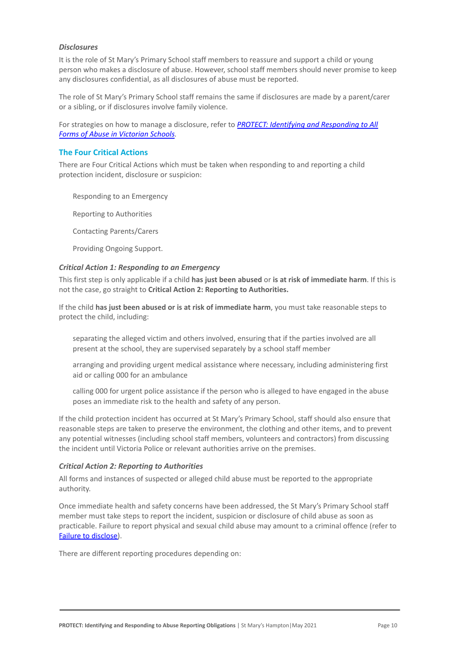#### *Disclosures*

It is the role of St Mary's Primary School staff members to reassure and support a child or young person who makes a disclosure of abuse. However, school staff members should never promise to keep any disclosures confidential, as all disclosures of abuse must be reported.

The role of St Mary's Primary School staff remains the same if disclosures are made by a parent/carer or a sibling, or if disclosures involve family violence.

For strategies on how to manage a disclosure, refer to *[PROTECT: Identifying and Responding to All](http://www.education.vic.gov.au/Documents/about/programs/health/protect/ChildSafeStandard5_SchoolsGuide.pdf) [Forms of Abuse in Victorian Schools.](http://www.education.vic.gov.au/Documents/about/programs/health/protect/ChildSafeStandard5_SchoolsGuide.pdf)*

#### **The Four Critical Actions**

There are Four Critical Actions which must be taken when responding to and reporting a child protection incident, disclosure or suspicion:

Responding to an Emergency

**Reporting to Authorities** 

3. Contacting Parents/Carers

Providing Ongoing Support.

#### *Critical Action 1: Responding to an Emergency*

This first step is only applicable if a child **has just been abused** or **is at risk of immediate harm**. If this is not the case, go straight to **Critical Action 2: Reporting to Authorities.**

If the child **has just been abused or is at risk of immediate harm**, you must take reasonable steps to protect the child, including:

separating the alleged victim and others involved, ensuring that if the parties involved are all present at the school, they are supervised separately by a school staff member

arranging and providing urgent medical assistance where necessary, including administering first aid or calling 000 for an ambulance

calling 000 for urgent police assistance if the person who is alleged to have engaged in the abuse poses an immediate risk to the health and safety of any person.

If the child protection incident has occurred at St Mary's Primary School, staff should also ensure that reasonable steps are taken to preserve the environment, the clothing and other items, and to prevent any potential witnesses (including school staff members, volunteers and contractors) from discussing the incident until Victoria Police or relevant authorities arrive on the premises.

#### *Critical Action 2: Reporting to Authorities*

All forms and instances of suspected or alleged child abuse must be reported to the appropriate authority.

Once immediate health and safety concerns have been addressed, the St Mary's Primary School staff member must take steps to report the incident, suspicion or disclosure of child abuse as soon as practicable. Failure to report physical and sexual child abuse may amount to a criminal offence (refer to [Failure to disclose\)](#page-5-0).

There are different reporting procedures depending on: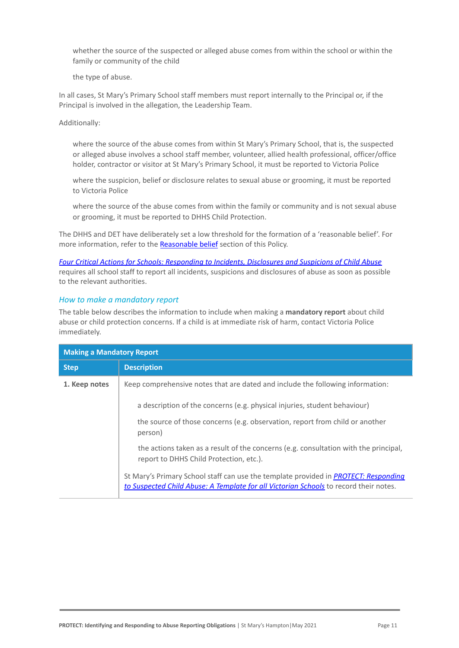whether the source of the suspected or alleged abuse comes from within the school or within the family or community of the child

the type of abuse.

In all cases, St Mary's Primary School staff members must report internally to the Principal or, if the Principal is involved in the allegation, the Leadership Team.

Additionally:

where the source of the abuse comes from within St Mary's Primary School, that is, the suspected or alleged abuse involves a school staff member, volunteer, allied health professional, officer/office holder, contractor or visitor at St Mary's Primary School, it must be reported to Victoria Police

where the suspicion, belief or disclosure relates to sexual abuse or grooming, it must be reported to Victoria Police

where the source of the abuse comes from within the family or community and is not sexual abuse or grooming, it must be reported to DHHS Child Protection.

The DHHS and DET have deliberately set a low threshold for the formation of a 'reasonable belief'. For more information, refer to the [Reasonable belief](#page-3-0) section of this Policy.

*[Four Critical Actions for Schools: Responding to Incidents,](http://www.education.vic.gov.au/Documents/about/programs/health/protect/FourCriticalActions_ChildAbuse.pdf) Disclosures and Suspicions of Child Abuse* requires all school staff to report all incidents, suspicions and disclosures of abuse as soon as possible to the relevant authorities.

### *How to make a mandatory report*

The table below describes the information to include when making a **mandatory report** about child abuse or child protection concerns. If a child is at immediate risk of harm, contact Victoria Police immediately.

| <b>Making a Mandatory Report</b> |                                                                                                                                                                                     |  |
|----------------------------------|-------------------------------------------------------------------------------------------------------------------------------------------------------------------------------------|--|
| <b>Step</b>                      | <b>Description</b>                                                                                                                                                                  |  |
| 1. Keep notes                    | Keep comprehensive notes that are dated and include the following information:                                                                                                      |  |
|                                  | a description of the concerns (e.g. physical injuries, student behaviour)                                                                                                           |  |
|                                  | the source of those concerns (e.g. observation, report from child or another<br>person)                                                                                             |  |
|                                  | the actions taken as a result of the concerns (e.g. consultation with the principal,<br>report to DHHS Child Protection, etc.).                                                     |  |
|                                  | St Mary's Primary School staff can use the template provided in <b>PROTECT: Responding</b><br>to Suspected Child Abuse: A Template for all Victorian Schools to record their notes. |  |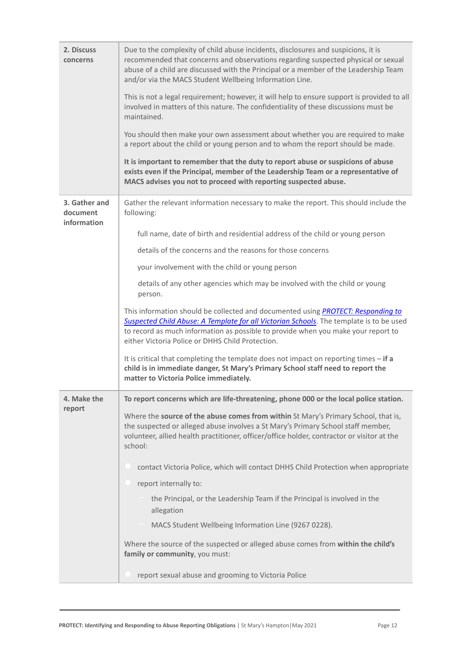| 2. Discuss<br>concerns                   | Due to the complexity of child abuse incidents, disclosures and suspicions, it is<br>recommended that concerns and observations regarding suspected physical or sexual<br>abuse of a child are discussed with the Principal or a member of the Leadership Team<br>and/or via the MACS Student Wellbeing Information Line.<br>This is not a legal requirement; however, it will help to ensure support is provided to all<br>involved in matters of this nature. The confidentiality of these discussions must be |
|------------------------------------------|------------------------------------------------------------------------------------------------------------------------------------------------------------------------------------------------------------------------------------------------------------------------------------------------------------------------------------------------------------------------------------------------------------------------------------------------------------------------------------------------------------------|
|                                          | maintained.<br>You should then make your own assessment about whether you are required to make<br>a report about the child or young person and to whom the report should be made.                                                                                                                                                                                                                                                                                                                                |
|                                          | It is important to remember that the duty to report abuse or suspicions of abuse<br>exists even if the Principal, member of the Leadership Team or a representative of<br>MACS advises you not to proceed with reporting suspected abuse.                                                                                                                                                                                                                                                                        |
| 3. Gather and<br>document<br>information | Gather the relevant information necessary to make the report. This should include the<br>following:                                                                                                                                                                                                                                                                                                                                                                                                              |
|                                          | full name, date of birth and residential address of the child or young person                                                                                                                                                                                                                                                                                                                                                                                                                                    |
|                                          | details of the concerns and the reasons for those concerns                                                                                                                                                                                                                                                                                                                                                                                                                                                       |
|                                          | your involvement with the child or young person                                                                                                                                                                                                                                                                                                                                                                                                                                                                  |
|                                          | details of any other agencies which may be involved with the child or young<br>person.                                                                                                                                                                                                                                                                                                                                                                                                                           |
|                                          | This information should be collected and documented using <b>PROTECT: Responding to</b><br>Suspected Child Abuse: A Template for all Victorian Schools. The template is to be used<br>to record as much information as possible to provide when you make your report to<br>either Victoria Police or DHHS Child Protection.                                                                                                                                                                                      |
|                                          | It is critical that completing the template does not impact on reporting times - if a<br>child is in immediate danger, St Mary's Primary School staff need to report the<br>matter to Victoria Police immediately.                                                                                                                                                                                                                                                                                               |
| 4. Make the                              | To report concerns which are life-threatening, phone 000 or the local police station.                                                                                                                                                                                                                                                                                                                                                                                                                            |
| report                                   | Where the source of the abuse comes from within St Mary's Primary School, that is,<br>the suspected or alleged abuse involves a St Mary's Primary School staff member,<br>volunteer, allied health practitioner, officer/office holder, contractor or visitor at the<br>school:                                                                                                                                                                                                                                  |
|                                          | contact Victoria Police, which will contact DHHS Child Protection when appropriate                                                                                                                                                                                                                                                                                                                                                                                                                               |
|                                          | report internally to:                                                                                                                                                                                                                                                                                                                                                                                                                                                                                            |
|                                          | the Principal, or the Leadership Team if the Principal is involved in the<br>allegation                                                                                                                                                                                                                                                                                                                                                                                                                          |
|                                          | MACS Student Wellbeing Information Line (9267 0228).                                                                                                                                                                                                                                                                                                                                                                                                                                                             |
|                                          | Where the source of the suspected or alleged abuse comes from within the child's<br>family or community, you must:                                                                                                                                                                                                                                                                                                                                                                                               |
|                                          | report sexual abuse and grooming to Victoria Police                                                                                                                                                                                                                                                                                                                                                                                                                                                              |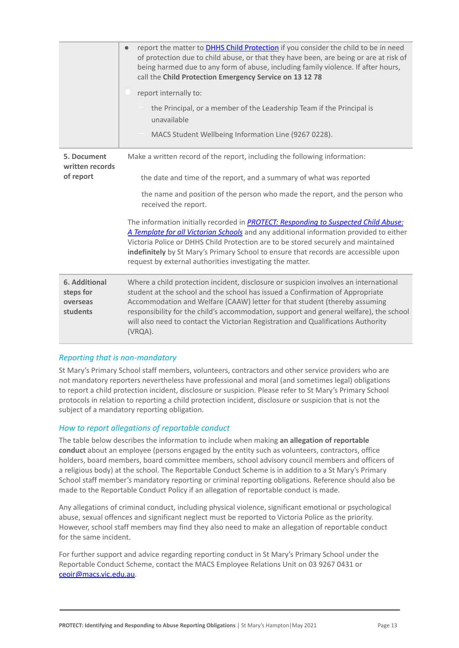|                                                    | report the matter to <b>DHHS Child Protection</b> if you consider the child to be in need<br>$\bullet$<br>of protection due to child abuse, or that they have been, are being or are at risk of<br>being harmed due to any form of abuse, including family violence. If after hours,<br>call the Child Protection Emergency Service on 13 12 78                                                                                               |
|----------------------------------------------------|-----------------------------------------------------------------------------------------------------------------------------------------------------------------------------------------------------------------------------------------------------------------------------------------------------------------------------------------------------------------------------------------------------------------------------------------------|
|                                                    | report internally to:                                                                                                                                                                                                                                                                                                                                                                                                                         |
|                                                    | the Principal, or a member of the Leadership Team if the Principal is<br>unavailable                                                                                                                                                                                                                                                                                                                                                          |
|                                                    | MACS Student Wellbeing Information Line (9267 0228).                                                                                                                                                                                                                                                                                                                                                                                          |
| 5. Document<br>written records                     | Make a written record of the report, including the following information:                                                                                                                                                                                                                                                                                                                                                                     |
| of report                                          | the date and time of the report, and a summary of what was reported                                                                                                                                                                                                                                                                                                                                                                           |
|                                                    | the name and position of the person who made the report, and the person who<br>received the report.                                                                                                                                                                                                                                                                                                                                           |
|                                                    | The information initially recorded in <b>PROTECT: Responding to Suspected Child Abuse:</b><br>A Template for all Victorian Schools and any additional information provided to either<br>Victoria Police or DHHS Child Protection are to be stored securely and maintained<br>indefinitely by St Mary's Primary School to ensure that records are accessible upon<br>request by external authorities investigating the matter.                 |
| 6. Additional<br>steps for<br>overseas<br>students | Where a child protection incident, disclosure or suspicion involves an international<br>student at the school and the school has issued a Confirmation of Appropriate<br>Accommodation and Welfare (CAAW) letter for that student (thereby assuming<br>responsibility for the child's accommodation, support and general welfare), the school<br>will also need to contact the Victorian Registration and Qualifications Authority<br>(VRQA). |

### *Reporting that is non-mandatory*

St Mary's Primary School staff members, volunteers, contractors and other service providers who are not mandatory reporters nevertheless have professional and moral (and sometimes legal) obligations to report a child protection incident, disclosure or suspicion. Please refer to St Mary's Primary School protocols in relation to reporting a child protection incident, disclosure or suspicion that is not the subject of a mandatory reporting obligation.

#### *How to report allegations of reportable conduct*

The table below describes the information to include when making **an allegation of reportable conduct** about an employee (persons engaged by the entity such as volunteers, contractors, office holders, board members, board committee members, school advisory council members and officers of a religious body) at the school. The Reportable Conduct Scheme is in addition to a St Mary's Primary School staff member's mandatory reporting or criminal reporting obligations. Reference should also be made to the Reportable Conduct Policy if an allegation of reportable conduct is made.

Any allegations of criminal conduct, including physical violence, significant emotional or psychological abuse, sexual offences and significant neglect must be reported to Victoria Police as the priority. However, school staff members may find they also need to make an allegation of reportable conduct for the same incident.

For further support and advice regarding reporting conduct in St Mary's Primary School under the Reportable Conduct Scheme, contact the MACS Employee Relations Unit on 03 9267 0431 or ceoir@macs.vic.edu.au.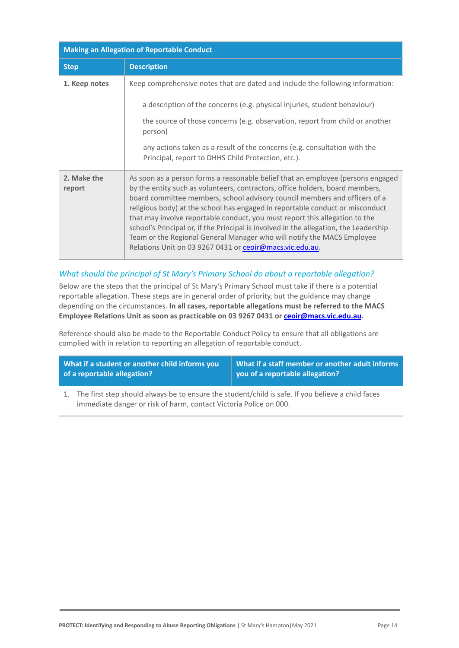| <b>Making an Allegation of Reportable Conduct</b> |                                                                                                                                                                                                                                                                                                                                                                                                                                                                                                                                                                                                                                               |
|---------------------------------------------------|-----------------------------------------------------------------------------------------------------------------------------------------------------------------------------------------------------------------------------------------------------------------------------------------------------------------------------------------------------------------------------------------------------------------------------------------------------------------------------------------------------------------------------------------------------------------------------------------------------------------------------------------------|
| <b>Step</b>                                       | <b>Description</b>                                                                                                                                                                                                                                                                                                                                                                                                                                                                                                                                                                                                                            |
| 1. Keep notes                                     | Keep comprehensive notes that are dated and include the following information:<br>a description of the concerns (e.g. physical injuries, student behaviour)<br>the source of those concerns (e.g. observation, report from child or another<br>person)<br>any actions taken as a result of the concerns (e.g. consultation with the<br>Principal, report to DHHS Child Protection, etc.).                                                                                                                                                                                                                                                     |
| 2. Make the<br>report                             | As soon as a person forms a reasonable belief that an employee (persons engaged<br>by the entity such as volunteers, contractors, office holders, board members,<br>board committee members, school advisory council members and officers of a<br>religious body) at the school has engaged in reportable conduct or misconduct<br>that may involve reportable conduct, you must report this allegation to the<br>school's Principal or, if the Principal is involved in the allegation, the Leadership<br>Team or the Regional General Manager who will notify the MACS Employee<br>Relations Unit on 03 9267 0431 or ceoir@macs.vic.edu.au. |

## *What should the principal of St Mary's Primary School do about a reportable allegation?*

Below are the steps that the principal of St Mary's Primary School must take if there is a potential reportable allegation. These steps are in general order of priority, but the guidance may change depending on the circumstances. **In all cases, reportable allegations must be referred to the MACS Employee Relations Unit as soon as practicable on 03 9267 0431 or [ceoir@macs.vic.edu.au](mailto:ceoir@macs.vic.edu.au).**

Reference should also be made to the Reportable Conduct Policy to ensure that all obligations are complied with in relation to reporting an allegation of reportable conduct.

| What if a student or another child informs you | What if a staff member or another adult informs |
|------------------------------------------------|-------------------------------------------------|
| of a reportable allegation?                    | $\vert$ you of a reportable allegation?         |

1. The first step should always be to ensure the student/child is safe. If you believe a child faces immediate danger or risk of harm, contact Victoria Police on 000.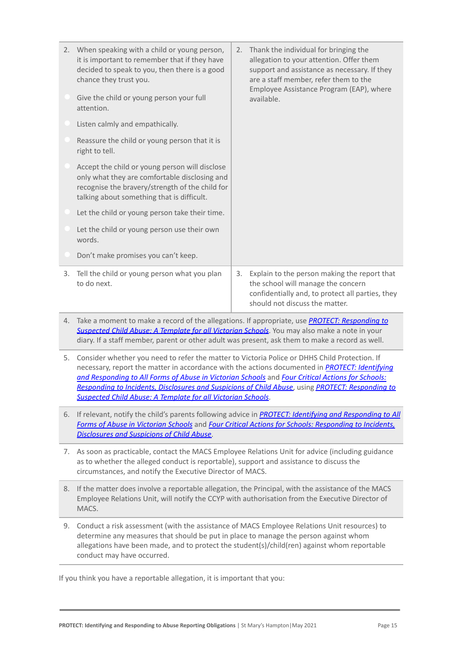| 2. When speaking with a child or young person,<br>it is important to remember that if they have<br>decided to speak to you, then there is a good<br>chance they trust you.                       | 2. Thank the individual for bringing the<br>allegation to your attention. Offer them<br>support and assistance as necessary. If they<br>are a staff member, refer them to the<br>Employee Assistance Program (EAP), where |                                                                                                                                                                          |
|--------------------------------------------------------------------------------------------------------------------------------------------------------------------------------------------------|---------------------------------------------------------------------------------------------------------------------------------------------------------------------------------------------------------------------------|--------------------------------------------------------------------------------------------------------------------------------------------------------------------------|
| Give the child or young person your full<br>attention.                                                                                                                                           |                                                                                                                                                                                                                           | available.                                                                                                                                                               |
| Listen calmly and empathically.                                                                                                                                                                  |                                                                                                                                                                                                                           |                                                                                                                                                                          |
| Reassure the child or young person that it is<br>right to tell.                                                                                                                                  |                                                                                                                                                                                                                           |                                                                                                                                                                          |
| Accept the child or young person will disclose<br>only what they are comfortable disclosing and<br>recognise the bravery/strength of the child for<br>talking about something that is difficult. |                                                                                                                                                                                                                           |                                                                                                                                                                          |
| Let the child or young person take their time.                                                                                                                                                   |                                                                                                                                                                                                                           |                                                                                                                                                                          |
| Let the child or young person use their own<br>words.                                                                                                                                            |                                                                                                                                                                                                                           |                                                                                                                                                                          |
| Don't make promises you can't keep.                                                                                                                                                              |                                                                                                                                                                                                                           |                                                                                                                                                                          |
| 3. Tell the child or young person what you plan<br>to do next.                                                                                                                                   | 3.                                                                                                                                                                                                                        | Explain to the person making the report that<br>the school will manage the concern<br>confidentially and, to protect all parties, they<br>should not discuss the matter. |

- 4. Take a moment to make a record of the allegations. If appropriate, use *[PROTECT: Responding to](http://www.education.vic.gov.au/Documents/about/programs/health/protect/PROTECT_Responding_TemplateSchools.pdf) [Suspected Child Abuse: A Template for all Victorian](http://www.education.vic.gov.au/Documents/about/programs/health/protect/PROTECT_Responding_TemplateSchools.pdf) Schools*. You may also make a note in your diary. If a staff member, parent or other adult was present, ask them to make a record as well.
- 5. Consider whether you need to refer the matter to Victoria Police or DHHS Child Protection. If necessary, report the matter in accordance with the actions documented in *[PROTECT: Identifying](http://www.education.vic.gov.au/Documents/about/programs/health/protect/ChildSafeStandard5_SchoolsGuide.pdf) [and Responding to All Forms of Abuse in Victorian](http://www.education.vic.gov.au/Documents/about/programs/health/protect/ChildSafeStandard5_SchoolsGuide.pdf) Schools* and *[Four Critical Actions for Schools:](http://www.education.vic.gov.au/Documents/about/programs/health/protect/FourCriticalActions_ChildAbuse.pdf) [Responding to Incidents, Disclosures and Suspicions](http://www.education.vic.gov.au/Documents/about/programs/health/protect/FourCriticalActions_ChildAbuse.pdf) of Child Abuse*, using *[PROTECT: Responding to](http://www.education.vic.gov.au/Documents/about/programs/health/protect/PROTECT_Responding_TemplateSchools.pdf) [Suspected Child Abuse: A Template for all Victorian](http://www.education.vic.gov.au/Documents/about/programs/health/protect/PROTECT_Responding_TemplateSchools.pdf) Schools*.
- 6. If relevant, notify the child's parents following advice in *[PROTECT: Identifying and Responding to](http://www.education.vic.gov.au/Documents/about/programs/health/protect/ChildSafeStandard5_SchoolsGuide.pdf) All [Forms of Abuse in Victorian Schools](http://www.education.vic.gov.au/Documents/about/programs/health/protect/ChildSafeStandard5_SchoolsGuide.pdf)* and *Four Critical [Actions for Schools: Responding to Incidents,](http://www.education.vic.gov.au/Documents/about/programs/health/protect/FourCriticalActions_ChildAbuse.pdf) [Disclosures and Suspicions of Child Abuse](http://www.education.vic.gov.au/Documents/about/programs/health/protect/FourCriticalActions_ChildAbuse.pdf)*.
- 7. As soon as practicable, contact the MACS Employee Relations Unit for advice (including guidance as to whether the alleged conduct is reportable), support and assistance to discuss the circumstances, and notify the Executive Director of MACS.
- 8. If the matter does involve a reportable allegation, the Principal, with the assistance of the MACS Employee Relations Unit, will notify the CCYP with authorisation from the Executive Director of MACS.
- 9. Conduct a risk assessment (with the assistance of MACS Employee Relations Unit resources) to determine any measures that should be put in place to manage the person against whom allegations have been made, and to protect the student(s)/child(ren) against whom reportable conduct may have occurred.

If you think you have a reportable allegation, it is important that you: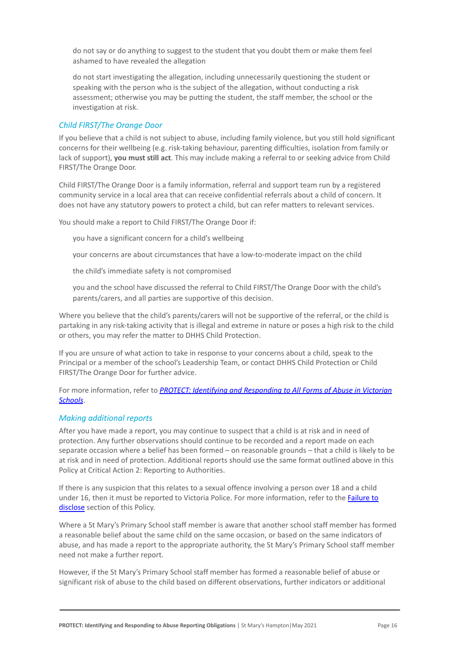do not say or do anything to suggest to the student that you doubt them or make them feel ashamed to have revealed the allegation

do not start investigating the allegation, including unnecessarily questioning the student or speaking with the person who is the subject of the allegation, without conducting a risk assessment; otherwise you may be putting the student, the staff member, the school or the investigation at risk.

#### *Child FIRST/The Orange Door*

If you believe that a child is not subject to abuse, including family violence, but you still hold significant concerns for their wellbeing (e.g. risk-taking behaviour, parenting difficulties, isolation from family or lack of support), **you must still act**. This may include making a referral to or seeking advice from Child FIRST/The Orange Door.

Child FIRST/The Orange Door is a family information, referral and support team run by a registered community service in a local area that can receive confidential referrals about a child of concern. It does not have any statutory powers to protect a child, but can refer matters to relevant services.

You should make a report to Child FIRST/The Orange Door if:

you have a significant concern for a child's wellbeing

your concerns are about circumstances that have a low-to-moderate impact on the child

the child's immediate safety is not compromised

you and the school have discussed the referral to Child FIRST/The Orange Door with the child's parents/carers, and all parties are supportive of this decision.

Where you believe that the child's parents/carers will not be supportive of the referral, or the child is partaking in any risk-taking activity that is illegal and extreme in nature or poses a high risk to the child or others, you may refer the matter to DHHS Child Protection.

If you are unsure of what action to take in response to your concerns about a child, speak to the Principal or a member of the school's Leadership Team, or contact DHHS Child Protection or Child FIRST/The Orange Door for further advice.

For more information, refer to *PROTECT: Identifying [and Responding to All Forms of Abuse in Victorian](http://www.education.vic.gov.au/Documents/about/programs/health/protect/ChildSafeStandard5_SchoolsGuide.pdf) [Schools](http://www.education.vic.gov.au/Documents/about/programs/health/protect/ChildSafeStandard5_SchoolsGuide.pdf)*.

#### *Making additional reports*

After you have made a report, you may continue to suspect that a child is at risk and in need of protection. Any further observations should continue to be recorded and a report made on each separate occasion where a belief has been formed – on reasonable grounds – that a child is likely to be at risk and in need of protection. Additional reports should use the same format outlined above in this Policy at Critical Action 2: Reporting to Authorities.

If there is any suspicion that this relates to a sexual offence involving a person over 18 and a child under 16, then it must be reported to Victoria Police. For more information, refer to the [Failure to](#page-5-0) [disclose](#page-5-0) section of this Policy.

Where a St Mary's Primary School staff member is aware that another school staff member has formed a reasonable belief about the same child on the same occasion, or based on the same indicators of abuse, and has made a report to the appropriate authority, the St Mary's Primary School staff member need not make a further report.

However, if the St Mary's Primary School staff member has formed a reasonable belief of abuse or significant risk of abuse to the child based on different observations, further indicators or additional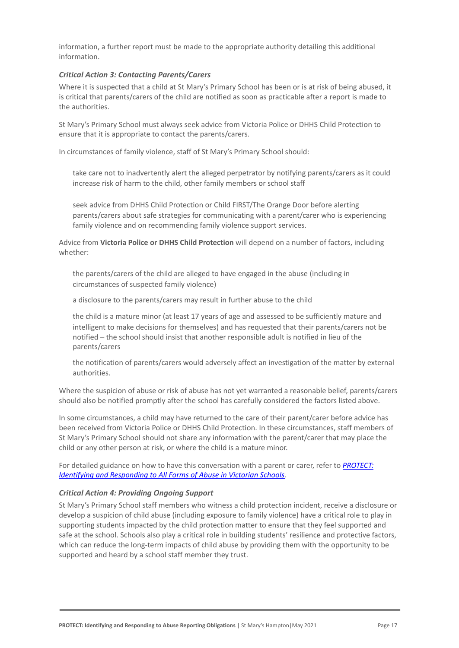information, a further report must be made to the appropriate authority detailing this additional information.

#### *Critical Action 3: Contacting Parents/Carers*

Where it is suspected that a child at St Mary's Primary School has been or is at risk of being abused, it is critical that parents/carers of the child are notified as soon as practicable after a report is made to the authorities.

St Mary's Primary School must always seek advice from Victoria Police or DHHS Child Protection to ensure that it is appropriate to contact the parents/carers.

In circumstances of family violence, staff of St Mary's Primary School should:

take care not to inadvertently alert the alleged perpetrator by notifying parents/carers as it could increase risk of harm to the child, other family members or school staff

seek advice from DHHS Child Protection or Child FIRST/The Orange Door before alerting parents/carers about safe strategies for communicating with a parent/carer who is experiencing family violence and on recommending family violence support services.

Advice from **Victoria Police or DHHS Child Protection** will depend on a number of factors, including whether:

the parents/carers of the child are alleged to have engaged in the abuse (including in circumstances of suspected family violence)

a disclosure to the parents/carers may result in further abuse to the child

the child is a mature minor (at least 17 years of age and assessed to be sufficiently mature and intelligent to make decisions for themselves) and has requested that their parents/carers not be notified – the school should insist that another responsible adult is notified in lieu of the parents/carers

the notification of parents/carers would adversely affect an investigation of the matter by external authorities.

Where the suspicion of abuse or risk of abuse has not yet warranted a reasonable belief, parents/carers should also be notified promptly after the school has carefully considered the factors listed above.

In some circumstances, a child may have returned to the care of their parent/carer before advice has been received from Victoria Police or DHHS Child Protection. In these circumstances, staff members of St Mary's Primary School should not share any information with the parent/carer that may place the child or any other person at risk, or where the child is a mature minor.

For detailed guidance on how to have this conversation with a parent or carer, refer to *[PROTECT:](http://www.education.vic.gov.au/Documents/about/programs/health/protect/ChildSafeStandard5_SchoolsGuide.pdf) [Identifying and Responding to All Forms of Abuse in](http://www.education.vic.gov.au/Documents/about/programs/health/protect/ChildSafeStandard5_SchoolsGuide.pdf) Victorian Schools.*

#### *Critical Action 4: Providing Ongoing Support*

St Mary's Primary School staff members who witness a child protection incident, receive a disclosure or develop a suspicion of child abuse (including exposure to family violence) have a critical role to play in supporting students impacted by the child protection matter to ensure that they feel supported and safe at the school. Schools also play a critical role in building students' resilience and protective factors, which can reduce the long-term impacts of child abuse by providing them with the opportunity to be supported and heard by a school staff member they trust.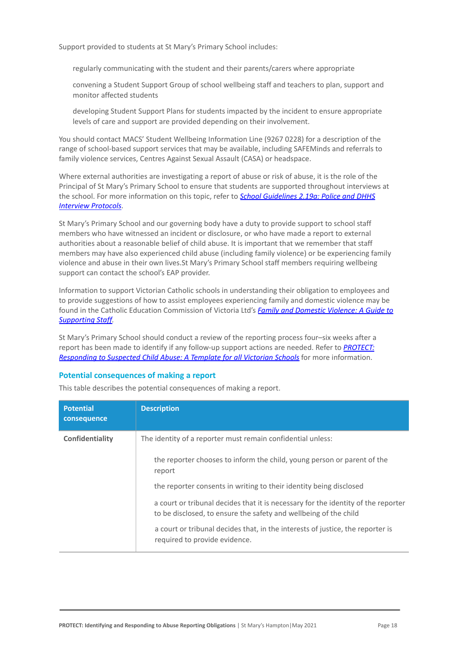Support provided to students at St Mary's Primary School includes:

regularly communicating with the student and their parents/carers where appropriate

convening a Student Support Group of school wellbeing staff and teachers to plan, support and monitor affected students

developing Student Support Plans for students impacted by the incident to ensure appropriate levels of care and support are provided depending on their involvement.

You should contact MACS' Student Wellbeing Information Line (9267 0228) for a description of the range of school-based support services that may be available, including SAFEMinds and referrals to family violence services, Centres Against Sexual Assault (CASA) or headspace.

Where external authorities are investigating a report of abuse or risk of abuse, it is the role of the Principal of St Mary's Primary School to ensure that students are supported throughout interviews at the school. For more information on this topic, refer to *[School Guidelines 2.19a: Police and DHHS](https://www.cem.edu.au/About-Us/Policies/Police-and-DHHS-Interview-Protocols.aspx) [Interview Protocols.](https://www.cem.edu.au/About-Us/Policies/Police-and-DHHS-Interview-Protocols.aspx)*

St Mary's Primary School and our governing body have a duty to provide support to school staff members who have witnessed an incident or disclosure, or who have made a report to external authorities about a reasonable belief of child abuse. It is important that we remember that staff members may have also experienced child abuse (including family violence) or be experiencing family violence and abuse in their own lives.St Mary's Primary School staff members requiring wellbeing support can contact the school's EAP provider.

Information to support Victorian Catholic schools in understanding their obligation to employees and to provide suggestions of how to assist employees experiencing family and domestic violence may be found in the Catholic Education Commission of Victoria Ltd's *[Family and Domestic Violence: A Guide to](https://www.cecv.catholic.edu.au/Media-Files/IR/Policies-Guidelines/Family-Domestic-Violence/Guide-to-family-and-domestic-violence-(1).aspx) [Supporting Staff](https://www.cecv.catholic.edu.au/Media-Files/IR/Policies-Guidelines/Family-Domestic-Violence/Guide-to-family-and-domestic-violence-(1).aspx)[.](http://www.cecv.catholic.edu.au/Media-Files/IR/Policies-Guidelines/Guide-to-family-and-domestic-violence.aspx)*

St Mary's Primary School should conduct a review of the reporting process four–six weeks after a report has been made to identify if any follow-up support actions are needed. Refer to *[PROTECT:](http://www.education.vic.gov.au/Documents/about/programs/health/protect/PROTECT_Responding_TemplateSchools.pdf) [Responding to Suspected Child Abuse: A Template for](http://www.education.vic.gov.au/Documents/about/programs/health/protect/PROTECT_Responding_TemplateSchools.pdf) all Victorian Schools* for more information.

#### **Potential consequences of making a report**

This table describes the potential consequences of making a report.

| <b>Potential</b><br>consequence | <b>Description</b>                                                                                                                                    |
|---------------------------------|-------------------------------------------------------------------------------------------------------------------------------------------------------|
| Confidentiality                 | The identity of a reporter must remain confidential unless:                                                                                           |
|                                 | the reporter chooses to inform the child, young person or parent of the<br>report                                                                     |
|                                 | the reporter consents in writing to their identity being disclosed                                                                                    |
|                                 | a court or tribunal decides that it is necessary for the identity of the reporter<br>to be disclosed, to ensure the safety and wellbeing of the child |
|                                 | a court or tribunal decides that, in the interests of justice, the reporter is<br>required to provide evidence.                                       |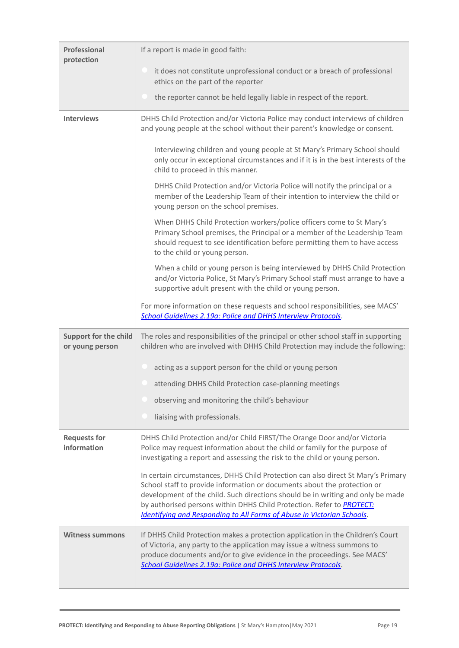| Professional<br>protection                      | If a report is made in good faith:                                                                                                                                                                                                                                                                                                                                                                                |
|-------------------------------------------------|-------------------------------------------------------------------------------------------------------------------------------------------------------------------------------------------------------------------------------------------------------------------------------------------------------------------------------------------------------------------------------------------------------------------|
|                                                 | it does not constitute unprofessional conduct or a breach of professional<br>ethics on the part of the reporter                                                                                                                                                                                                                                                                                                   |
|                                                 | the reporter cannot be held legally liable in respect of the report.                                                                                                                                                                                                                                                                                                                                              |
| <b>Interviews</b>                               | DHHS Child Protection and/or Victoria Police may conduct interviews of children<br>and young people at the school without their parent's knowledge or consent.                                                                                                                                                                                                                                                    |
|                                                 | Interviewing children and young people at St Mary's Primary School should<br>only occur in exceptional circumstances and if it is in the best interests of the<br>child to proceed in this manner.                                                                                                                                                                                                                |
|                                                 | DHHS Child Protection and/or Victoria Police will notify the principal or a<br>member of the Leadership Team of their intention to interview the child or<br>young person on the school premises.                                                                                                                                                                                                                 |
|                                                 | When DHHS Child Protection workers/police officers come to St Mary's<br>Primary School premises, the Principal or a member of the Leadership Team<br>should request to see identification before permitting them to have access<br>to the child or young person.                                                                                                                                                  |
|                                                 | When a child or young person is being interviewed by DHHS Child Protection<br>and/or Victoria Police, St Mary's Primary School staff must arrange to have a<br>supportive adult present with the child or young person.                                                                                                                                                                                           |
|                                                 | For more information on these requests and school responsibilities, see MACS'<br>School Guidelines 2.19a: Police and DHHS Interview Protocols.                                                                                                                                                                                                                                                                    |
| <b>Support for the child</b><br>or young person | The roles and responsibilities of the principal or other school staff in supporting<br>children who are involved with DHHS Child Protection may include the following:                                                                                                                                                                                                                                            |
|                                                 | acting as a support person for the child or young person                                                                                                                                                                                                                                                                                                                                                          |
|                                                 | attending DHHS Child Protection case-planning meetings                                                                                                                                                                                                                                                                                                                                                            |
|                                                 | observing and monitoring the child's behaviour                                                                                                                                                                                                                                                                                                                                                                    |
|                                                 | liaising with professionals.                                                                                                                                                                                                                                                                                                                                                                                      |
| <b>Requests for</b><br>information              | DHHS Child Protection and/or Child FIRST/The Orange Door and/or Victoria<br>Police may request information about the child or family for the purpose of<br>investigating a report and assessing the risk to the child or young person.                                                                                                                                                                            |
|                                                 | In certain circumstances, DHHS Child Protection can also direct St Mary's Primary<br>School staff to provide information or documents about the protection or<br>development of the child. Such directions should be in writing and only be made<br>by authorised persons within DHHS Child Protection. Refer to <b>PROTECT:</b><br><b>Identifying and Responding to All Forms of Abuse in Victorian Schools.</b> |
| <b>Witness summons</b>                          | If DHHS Child Protection makes a protection application in the Children's Court<br>of Victoria, any party to the application may issue a witness summons to<br>produce documents and/or to give evidence in the proceedings. See MACS'<br>School Guidelines 2.19a: Police and DHHS Interview Protocols.                                                                                                           |